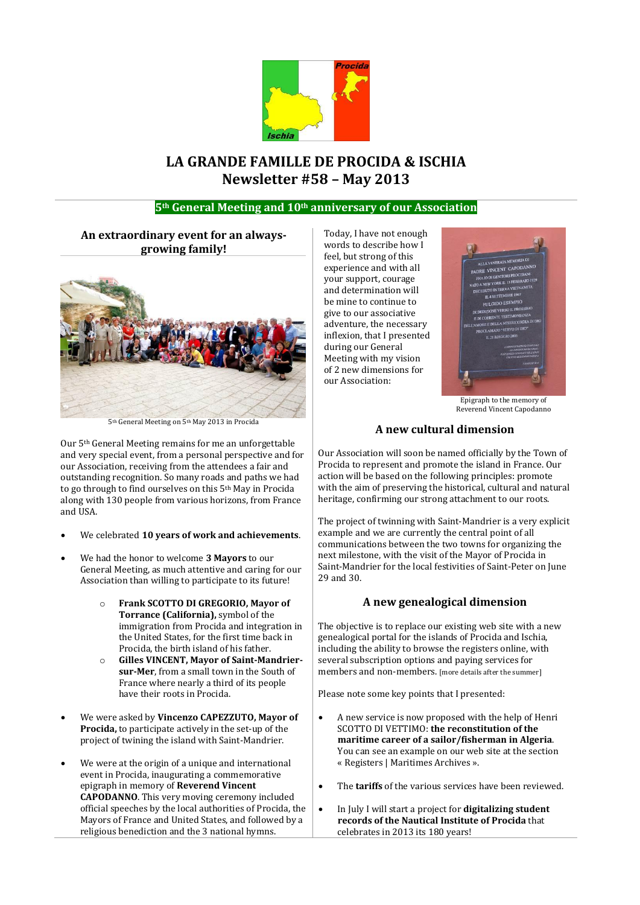

# **LA GRANDE FAMILLE DE PROCIDA & ISCHIA Newsletter #58 – May 2013**

# **5th General Meeting and 10th anniversary of our Association**

# **An extraordinary event for an alwaysgrowing family!**



5th General Meeting on 5th May 2013 in Procida

Our 5th General Meeting remains for me an unforgettable and very special event, from a personal perspective and for our Association, receiving from the attendees a fair and outstanding recognition. So many roads and paths we had to go through to find ourselves on this 5th May in Procida along with 130 people from various horizons, from France and USA.

- We celebrated **10 years of work and achievements**.
- We had the honor to welcome **3 Mayors** to our General Meeting, as much attentive and caring for our Association than willing to participate to its future!
	- o **Frank SCOTTO DI GREGORIO, Mayor of Torrance (California),** symbol of the immigration from Procida and integration in the United States, for the first time back in Procida, the birth island of his father.
	- o **Gilles VINCENT, Mayor of Saint-Mandriersur-Mer**, from a small town in the South of France where nearly a third of its people have their roots in Procida.
- We were asked by **Vincenzo CAPEZZUTO, Mayor of Procida,** to participate actively in the set-up of the project of twining the island with Saint-Mandrier.
- We were at the origin of a unique and international event in Procida, inaugurating a commemorative epigraph in memory of **Reverend Vincent CAPODANNO**. This very moving ceremony included official speeches by the local authorities of Procida, the Mayors of France and United States, and followed by a religious benediction and the 3 national hymns.

Today, I have not enough words to describe how I feel, but strong of this experience and with all your support, courage and determination will be mine to continue to give to our associative adventure, the necessary inflexion, that I presented during our General Meeting with my vision of 2 new dimensions for our Association:



Epigraph to the memory of Reverend Vincent Capodanno

## **A new cultural dimension**

Our Association will soon be named officially by the Town of Procida to represent and promote the island in France. Our action will be based on the following principles: promote with the aim of preserving the historical, cultural and natural heritage, confirming our strong attachment to our roots.

The project of twinning with Saint-Mandrier is a very explicit example and we are currently the central point of all communications between the two towns for organizing the next milestone, with the visit of the Mayor of Procida in Saint-Mandrier for the local festivities of Saint-Peter on June 29 and 30.

#### **A new genealogical dimension**

The objective is to replace our existing web site with a new genealogical portal for the islands of Procida and Ischia, including the ability to browse the registers online, with several subscription options and paying services for members and non-members. [more details after the summer]

Please note some key points that I presented:

- A new service is now proposed with the help of Henri SCOTTO DI VETTIMO: **the reconstitution of the maritime career of a sailor/fisherman in Algeria**. You can see an example on our web site at the section « Registers | Maritimes Archives ».
- The **tariffs** of the various services have been reviewed.
- In July I will start a project for **digitalizing student records of the Nautical Institute of Procida** that celebrates in 2013 its 180 years!